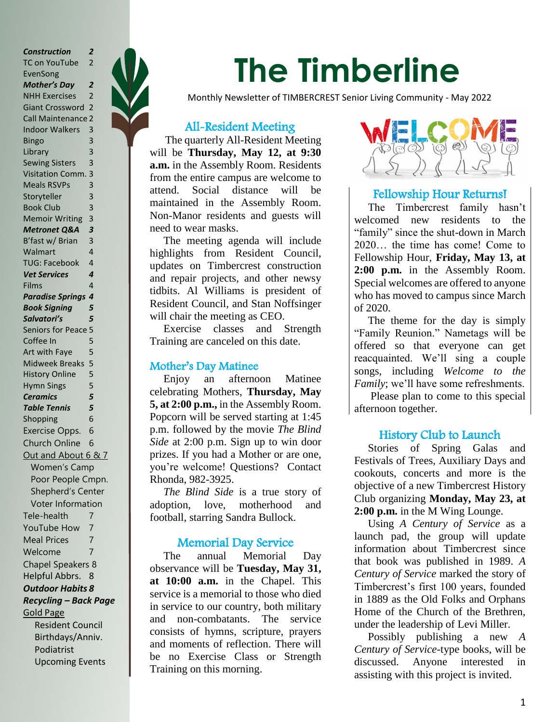*Construction 2* TC on YouTube 2 EvenSong *Mother's Day 2* NHH Exercises 2 Giant Crossword 2 Call Maintenance 2 Indoor Walkers 3 Bingo 3 Library 3 Sewing Sisters 3 Visitation Comm. 3 Meals RSVPs 3 Storyteller 3 Book Club 3 Memoir Writing 3 *Metronet Q&A 3* B'fast w/ Brian 3 Walmart 4 TUG: Facebook 4 *Vet Services 4* Films 4 *Paradise Springs 4 Book Signing 5 Salvatori's 5* Seniors for Peace 5 Coffee In 5 Art with Faye 5 Midweek Breaks 5 History Online 5 Hymn Sings 5 *Ceramics 5 Table Tennis 5* Shopping 6 Exercise Opps. 6 Church Online 6 Out and About 6 & 7 Women's Camp Poor People Cmpn. Shepherd's Center Voter Information Tele-health 7 YouTube How 7 Meal Prices 7 Welcome 7 Chapel Speakers 8 Helpful Abbrs. 8 *Outdoor Habits 8 Recycling – Back Page* Gold Page Resident Council Birthdays/Anniv. Podiatrist

Upcoming Events



# **The Timberline**

Monthly Newsletter of TIMBERCREST Senior Living Community - May 2022

# All-Resident Meeting

 The quarterly All-Resident Meeting will be **Thursday, May 12, at 9:30 a.m.** in the Assembly Room. Residents from the entire campus are welcome to attend. Social distance will be maintained in the Assembly Room. Non-Manor residents and guests will need to wear masks.

 The meeting agenda will include highlights from Resident Council, updates on Timbercrest construction and repair projects, and other newsy tidbits. Al Williams is president of Resident Council, and Stan Noffsinger will chair the meeting as CEO.

 Exercise classes and Strength Training are canceled on this date.

# Mother's Day Matinee

 Enjoy an afternoon Matinee celebrating Mothers, **Thursday, May 5, at 2:00 p.m.,** in the Assembly Room. Popcorn will be served starting at 1:45 p.m. followed by the movie *The Blind Side* at 2:00 p.m. Sign up to win door prizes. If you had a Mother or are one, you're welcome! Questions? Contact Rhonda, 982-3925.

 *The Blind Side* is a true story of adoption, love, motherhood and football, starring Sandra Bullock.

# Memorial Day Service

 The annual Memorial Day observance will be **Tuesday, May 31, at 10:00 a.m.** in the Chapel. This service is a memorial to those who died in service to our country, both military and non-combatants. The service consists of hymns, scripture, prayers and moments of reflection. There will be no Exercise Class or Strength Training on this morning.



# Fellowship Hour Returns!

 The Timbercrest family hasn't welcomed new residents to the "family" since the shut-down in March 2020… the time has come! Come to Fellowship Hour, **Friday, May 13, at 2:00 p.m.** in the Assembly Room. Special welcomes are offered to anyone who has moved to campus since March of 2020.

 The theme for the day is simply "Family Reunion." Nametags will be offered so that everyone can get reacquainted. We'll sing a couple songs, including *Welcome to the Family*; we'll have some refreshments.

 Please plan to come to this special afternoon together.

# History Club to Launch

 Stories of Spring Galas and Festivals of Trees, Auxiliary Days and cookouts, concerts and more is the objective of a new Timbercrest History Club organizing **Monday, May 23, at 2:00 p.m.** in the M Wing Lounge.

 Using *A Century of Service* as a launch pad, the group will update information about Timbercrest since that book was published in 1989. *A Century of Service* marked the story of Timbercrest's first 100 years, founded in 1889 as the Old Folks and Orphans Home of the Church of the Brethren, under the leadership of Levi Miller.

 Possibly publishing a new *A Century of Service-*type books, will be discussed. Anyone interested in assisting with this project is invited.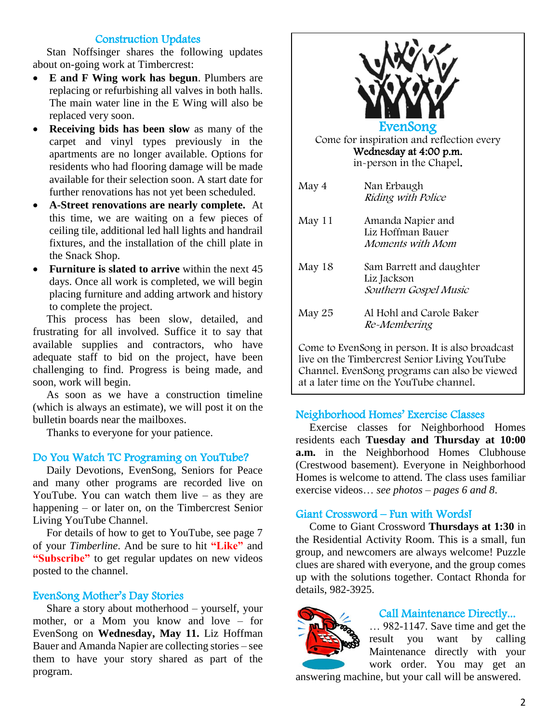# Construction Updates

 Stan Noffsinger shares the following updates about on-going work at Timbercrest:

- **E and F Wing work has begun**. Plumbers are replacing or refurbishing all valves in both halls. The main water line in the E Wing will also be replaced very soon.
- **Receiving bids has been slow** as many of the carpet and vinyl types previously in the apartments are no longer available. Options for residents who had flooring damage will be made available for their selection soon. A start date for further renovations has not yet been scheduled.
- **A-Street renovations are nearly complete.** At this time, we are waiting on a few pieces of ceiling tile, additional led hall lights and handrail fixtures, and the installation of the chill plate in the Snack Shop.
- **Furniture is slated to arrive** within the next 45 days. Once all work is completed, we will begin placing furniture and adding artwork and history to complete the project.

 This process has been slow, detailed, and frustrating for all involved. Suffice it to say that available supplies and contractors, who have adequate staff to bid on the project, have been challenging to find. Progress is being made, and soon, work will begin.

 As soon as we have a construction timeline (which is always an estimate), we will post it on the bulletin boards near the mailboxes.

Thanks to everyone for your patience.

# Do You Watch TC Programing on YouTube?

 Daily Devotions, EvenSong, Seniors for Peace and many other programs are recorded live on YouTube. You can watch them live – as they are happening – or later on, on the Timbercrest Senior Living YouTube Channel.

 For details of how to get to YouTube, see page 7 of your *Timberline*. And be sure to hit **"Like"** and **"Subscribe"** to get regular updates on new videos posted to the channel.

# EvenSong Mother's Day Stories

 Share a story about motherhood – yourself, your mother, or a Mom you know and love – for EvenSong on **Wednesday, May 11.** Liz Hoffman Bauer and Amanda Napier are collecting stories – see them to have your story shared as part of the program.



Come to EvenSong in person. It is also broadcast live on the Timbercrest Senior Living YouTube Channel. EvenSong programs can also be viewed at a later time on the YouTube channel.

# Neighborhood Homes' Exercise Classes

 Exercise classes for Neighborhood Homes residents each **Tuesday and Thursday at 10:00 a.m.** in the Neighborhood Homes Clubhouse (Crestwood basement). Everyone in Neighborhood Homes is welcome to attend. The class uses familiar exercise videos… *see photos – pages 6 and 8*.

# Giant Crossword – Fun with Words!

 Come to Giant Crossword **Thursdays at 1:30** in the Residential Activity Room. This is a small, fun group, and newcomers are always welcome! Puzzle clues are shared with everyone, and the group comes up with the solutions together. Contact Rhonda for details, 982-3925.



# Call Maintenance Directly...

… 982-1147. Save time and get the result you want by calling Maintenance directly with your work order. You may get an

answering machine, but your call will be answered.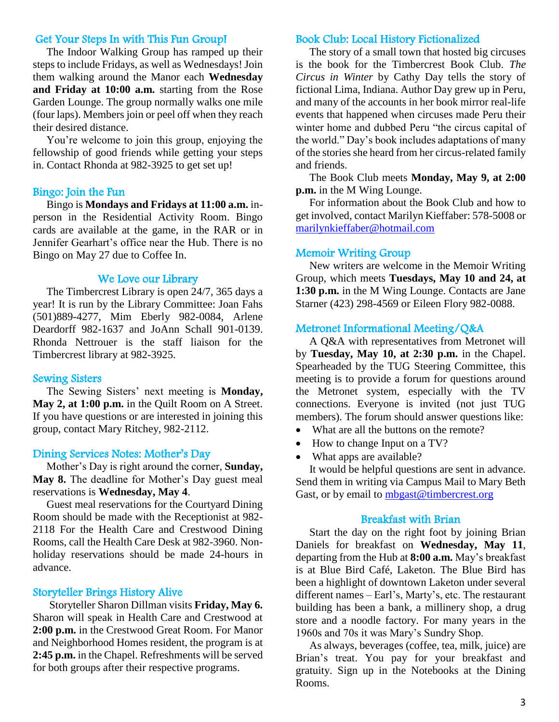#### Get Your Steps In with This Fun Group!

 The Indoor Walking Group has ramped up their steps to include Fridays, as well as Wednesdays! Join them walking around the Manor each **Wednesday and Friday at 10:00 a.m.** starting from the Rose Garden Lounge. The group normally walks one mile (four laps). Members join or peel off when they reach their desired distance.

 You're welcome to join this group, enjoying the fellowship of good friends while getting your steps in. Contact Rhonda at 982-3925 to get set up!

#### Bingo: Join the Fun

 Bingo is **Mondays and Fridays at 11:00 a.m.** inperson in the Residential Activity Room. Bingo cards are available at the game, in the RAR or in Jennifer Gearhart's office near the Hub. There is no Bingo on May 27 due to Coffee In.

#### We Love our Library

 The Timbercrest Library is open 24/7, 365 days a year! It is run by the Library Committee: Joan Fahs (501)889-4277, Mim Eberly 982-0084, Arlene Deardorff 982-1637 and JoAnn Schall 901-0139. Rhonda Nettrouer is the staff liaison for the Timbercrest library at 982-3925.

#### Sewing Sisters

 The Sewing Sisters' next meeting is **Monday, May 2, at 1:00 p.m.** in the Quilt Room on A Street. If you have questions or are interested in joining this group, contact Mary Ritchey, 982-2112.

#### Dining Services Notes: Mother's Day

 Mother's Day is right around the corner, **Sunday, May 8.** The deadline for Mother's Day guest meal reservations is **Wednesday, May 4**.

 Guest meal reservations for the Courtyard Dining Room should be made with the Receptionist at 982- 2118 For the Health Care and Crestwood Dining Rooms, call the Health Care Desk at 982-3960. Nonholiday reservations should be made 24-hours in advance.

#### Storyteller Brings History Alive

 Storyteller Sharon Dillman visits **Friday, May 6.** Sharon will speak in Health Care and Crestwood at **2:00 p.m.** in the Crestwood Great Room. For Manor and Neighborhood Homes resident, the program is at **2:45 p.m.** in the Chapel. Refreshments will be served for both groups after their respective programs.

#### Book Club: Local History Fictionalized

 The story of a small town that hosted big circuses is the book for the Timbercrest Book Club. *The Circus in Winter* by Cathy Day tells the story of fictional Lima, Indiana. Author Day grew up in Peru, and many of the accounts in her book mirror real-life events that happened when circuses made Peru their winter home and dubbed Peru "the circus capital of the world." Day's book includes adaptations of many of the stories she heard from her circus-related family and friends.

 The Book Club meets **Monday, May 9, at 2:00 p.m.** in the M Wing Lounge.

 For information about the Book Club and how to get involved, contact Marilyn Kieffaber: 578-5008 o[r](mailto:%20marilynkieffaber@hotmail.com) [marilynkieffaber@hotmail.com](mailto:%20marilynkieffaber@hotmail.com)

#### Memoir Writing Group

 New writers are welcome in the Memoir Writing Group, which meets **Tuesdays, May 10 and 24, at 1:30 p.m.** in the M Wing Lounge. Contacts are Jane Starner (423) 298-4569 or Eileen Flory 982-0088.

#### Metronet Informational Meeting/Q&A

 A Q&A with representatives from Metronet will by **Tuesday, May 10, at 2:30 p.m.** in the Chapel. Spearheaded by the TUG Steering Committee, this meeting is to provide a forum for questions around the Metronet system, especially with the TV connections. Everyone is invited (not just TUG members). The forum should answer questions like:

- What are all the buttons on the remote?
- How to change Input on a TV?
- What apps are available?

 It would be helpful questions are sent in advance. Send them in writing via Campus Mail to Mary Beth Gast, or by email to [mbgast@timbercrest.org](mailto:mbgast@timbercrest.org)

#### Breakfast with Brian

 Start the day on the right foot by joining Brian Daniels for breakfast on **Wednesday, May 11**, departing from the Hub at **8:00 a.m.** May's breakfast is at Blue Bird Café, Laketon. The Blue Bird has been a highlight of downtown Laketon under several different names – Earl's, Marty's, etc. The restaurant building has been a bank, a millinery shop, a drug store and a noodle factory. For many years in the 1960s and 70s it was Mary's Sundry Shop.

 As always, beverages (coffee, tea, milk, juice) are Brian's treat. You pay for your breakfast and gratuity. Sign up in the Notebooks at the Dining Rooms.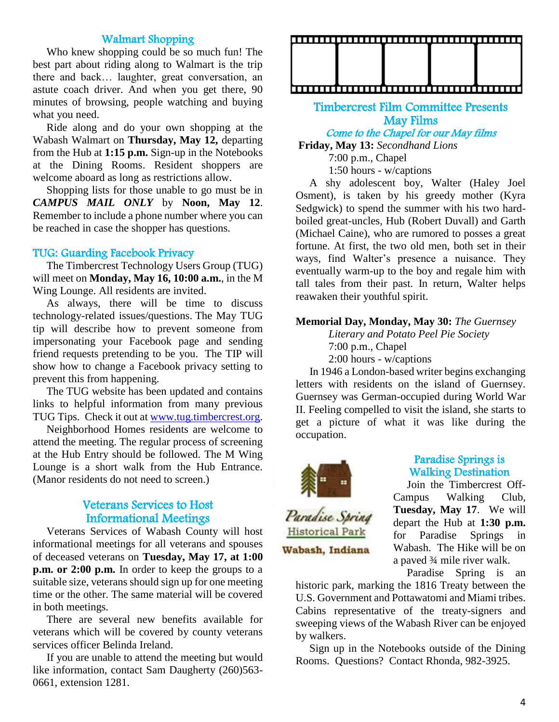## Walmart Shopping

 Who knew shopping could be so much fun! The best part about riding along to Walmart is the trip there and back… laughter, great conversation, an astute coach driver. And when you get there, 90 minutes of browsing, people watching and buying what you need.

 Ride along and do your own shopping at the Wabash Walmart on **Thursday, May 12,** departing from the Hub at **1:15 p.m.** Sign-up in the Notebooks at the Dining Rooms. Resident shoppers are welcome aboard as long as restrictions allow.

 Shopping lists for those unable to go must be in *CAMPUS MAIL ONLY* by **Noon, May 12**. Remember to include a phone number where you can be reached in case the shopper has questions.

#### TUG: Guarding Facebook Privacy

 The Timbercrest Technology Users Group (TUG) will meet on **Monday, May 16, 10:00 a.m.**, in the M Wing Lounge. All residents are invited.

 As always, there will be time to discuss technology-related issues/questions. The May TUG tip will describe how to prevent someone from impersonating your Facebook page and sending friend requests pretending to be you. The TIP will show how to change a Facebook privacy setting to prevent this from happening.

 The TUG website has been updated and contains links to helpful information from many previous TUG Tips. Check it out a[t www.tug.timbercrest.org.](http://www.tug.timbercrest.org/)

 Neighborhood Homes residents are welcome to attend the meeting. The regular process of screening at the Hub Entry should be followed. The M Wing Lounge is a short walk from the Hub Entrance. (Manor residents do not need to screen.)

## Veterans Services to Host Informational Meetings

 Veterans Services of Wabash County will host informational meetings for all veterans and spouses of deceased veterans on **Tuesday, May 17, at 1:00 p.m. or 2:00 p.m.** In order to keep the groups to a suitable size, veterans should sign up for one meeting time or the other. The same material will be covered in both meetings.

 There are several new benefits available for veterans which will be covered by county veterans services officer Belinda Ireland.

 If you are unable to attend the meeting but would like information, contact Sam Daugherty (260)563-0661, extension 1281.



## Timbercrest Film Committee Presents May Films Come to the Chapel for our May films

**Friday, May 13:** *Secondhand Lions*

7:00 p.m., Chapel

1:50 hours - w/captions

 A shy adolescent boy, Walter (Haley Joel Osment), is taken by his greedy mother (Kyra Sedgwick) to spend the summer with his two hardboiled great-uncles, Hub (Robert Duvall) and Garth (Michael Caine), who are rumored to posses a great fortune. At first, the two old men, both set in their ways, find Walter's presence a nuisance. They eventually warm-up to the boy and regale him with tall tales from their past. In return, Walter helps reawaken their youthful spirit.

## **Memorial Day, Monday, May 30:** *The Guernsey*

*Literary and Potato Peel Pie Society* 7:00 p.m., Chapel 2:00 hours - w/captions

 In 1946 a London-based writer begins exchanging letters with residents on the island of Guernsey. Guernsey was German-occupied during World War II. Feeling compelled to visit the island, she starts to get a picture of what it was like during the occupation.



**Historical Park** 

Wabash, Indiana

#### Paradise Springs is Walking Destination

 Join the Timbercrest Off-Campus Walking Club, **Tuesday, May 17**. We will depart the Hub at **1:30 p.m.** for Paradise Springs in Wabash. The Hike will be on a paved ¾ mile river walk.

Paradise Spring is an

historic park, marking the 1816 Treaty between the U.S. Government and Pottawatomi and Miami tribes. Cabins representative of the treaty-signers and sweeping views of the Wabash River can be enjoyed by walkers.

 Sign up in the Notebooks outside of the Dining Rooms. Questions? Contact Rhonda, 982-3925.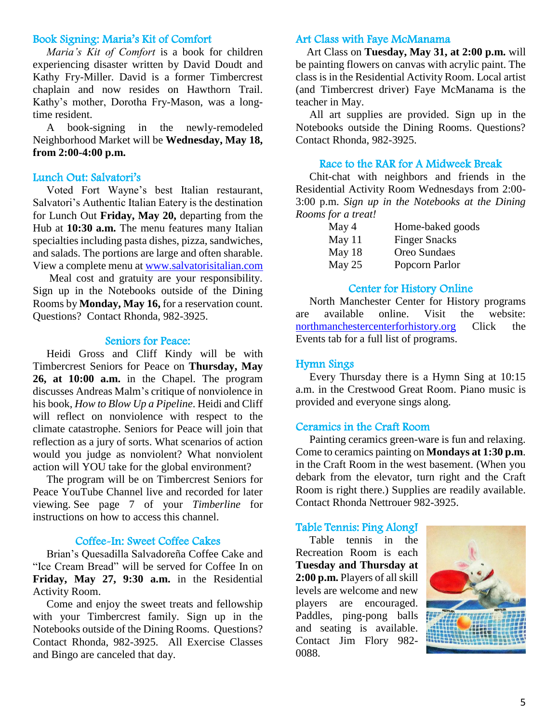## Book Signing: Maria's Kit of Comfort

 *Maria's Kit of Comfort* is a book for children experiencing disaster written by David Doudt and Kathy Fry-Miller. David is a former Timbercrest chaplain and now resides on Hawthorn Trail. Kathy's mother, Dorotha Fry-Mason, was a longtime resident.

 A book-signing in the newly-remodeled Neighborhood Market will be **Wednesday, May 18, from 2:00-4:00 p.m.**

## Lunch Out: Salvatori's

 Voted Fort Wayne's best Italian restaurant, Salvatori's Authentic Italian Eatery is the destination for Lunch Out **Friday, May 20,** departing from the Hub at **10:30 a.m.** The menu features many Italian specialties including pasta dishes, pizza, sandwiches, and salads. The portions are large and often sharable. View a complete menu at [www.salvatorisitalian.com](http://www.salvatorisitalian.com/)

 Meal cost and gratuity are your responsibility. Sign up in the Notebooks outside of the Dining Rooms by **Monday, May 16,** for a reservation count. Questions? Contact Rhonda, 982-3925.

#### Seniors for Peace:

 Heidi Gross and Cliff Kindy will be with Timbercrest Seniors for Peace on **Thursday, May 26, at 10:00 a.m.** in the Chapel. The program discusses Andreas Malm's critique of nonviolence in his book, *How to Blow Up a Pipeline*. Heidi and Cliff will reflect on nonviolence with respect to the climate catastrophe. Seniors for Peace will join that reflection as a jury of sorts. What scenarios of action would you judge as nonviolent? What nonviolent action will YOU take for the global environment?

 The program will be on Timbercrest Seniors for Peace YouTube Channel live and recorded for later viewing. See page 7 of your *Timberline* for instructions on how to access this channel.

#### Coffee-In: Sweet Coffee Cakes

 Brian's Quesadilla Salvadoreña Coffee Cake and "Ice Cream Bread" will be served for Coffee In on **Friday, May 27, 9:30 a.m.** in the Residential Activity Room.

 Come and enjoy the sweet treats and fellowship with your Timbercrest family. Sign up in the Notebooks outside of the Dining Rooms. Questions? Contact Rhonda, 982-3925. All Exercise Classes and Bingo are canceled that day.

#### Art Class with Faye McManama

 Art Class on **Tuesday, May 31, at 2:00 p.m.** will be painting flowers on canvas with acrylic paint. The class is in the Residential Activity Room. Local artist (and Timbercrest driver) Faye McManama is the teacher in May.

 All art supplies are provided. Sign up in the Notebooks outside the Dining Rooms. Questions? Contact Rhonda, 982-3925.

## Race to the RAR for A Midweek Break

 Chit-chat with neighbors and friends in the Residential Activity Room Wednesdays from 2:00- 3:00 p.m. *Sign up in the Notebooks at the Dining Rooms for a treat!*

| May 4    | Home-baked goods     |
|----------|----------------------|
| May $11$ | <b>Finger Snacks</b> |
| May 18   | Oreo Sundaes         |
| May 25   | Popcorn Parlor       |

## Center for History Online

 North Manchester Center for History programs are available online. Visit the website: [northmanchestercenterforhistory.org](https://northmanchestercenterforhistory.org/) Click the Events tab for a full list of programs.

## Hymn Sings

 Every Thursday there is a Hymn Sing at 10:15 a.m. in the Crestwood Great Room. Piano music is provided and everyone sings along.

#### Ceramics in the Craft Room

 Painting ceramics green-ware is fun and relaxing. Come to ceramics painting on **Mondays at 1:30 p.m**. in the Craft Room in the west basement. (When you debark from the elevator, turn right and the Craft Room is right there.) Supplies are readily available. Contact Rhonda Nettrouer 982-3925.

#### Table Tennis: Ping Along!

 Table tennis in the Recreation Room is each **Tuesday and Thursday at 2:00 p.m.** Players of all skill levels are welcome and new players are encouraged. Paddles, ping-pong balls and seating is available. Contact Jim Flory 982- 0088.

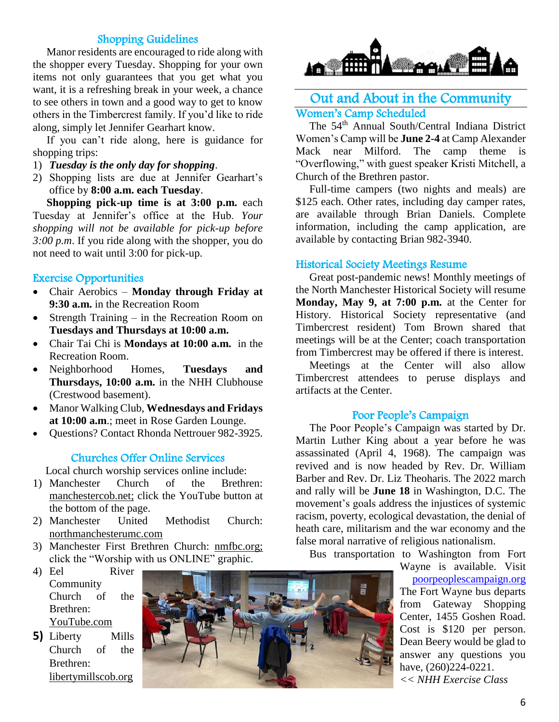# Shopping Guidelines

 Manor residents are encouraged to ride along with the shopper every Tuesday. Shopping for your own items not only guarantees that you get what you want, it is a refreshing break in your week, a chance to see others in town and a good way to get to know others in the Timbercrest family. If you'd like to ride along, simply let Jennifer Gearhart know.

 If you can't ride along, here is guidance for shopping trips:

- 1) *Tuesday is the only day for shopping*.
- 2) Shopping lists are due at Jennifer Gearhart's office by **8:00 a.m. each Tuesday**.

 **Shopping pick-up time is at 3:00 p.m.** each Tuesday at Jennifer's office at the Hub. *Your shopping will not be available for pick-up before 3:00 p.m*. If you ride along with the shopper, you do not need to wait until 3:00 for pick-up.

## Exercise Opportunities

- Chair Aerobics **Monday through Friday at 9:30 a.m.** in the Recreation Room
- Strength Training in the Recreation Room on **Tuesdays and Thursdays at 10:00 a.m.**
- Chair Tai Chi is **Mondays at 10:00 a.m.** in the Recreation Room.
- Neighborhood Homes, **Tuesdays and Thursdays, 10:00 a.m.** in the NHH Clubhouse (Crestwood basement).
- Manor Walking Club, **Wednesdays and Fridays at 10:00 a.m**.; meet in Rose Garden Lounge.
- Ouestions? Contact Rhonda Nettrouer 982-3925.

## Churches Offer Online Services

Local church worship services online include:

- 1) Manchester Church of the Brethren: manchestercob.net; click the YouTube button at the bottom of the page.
- 2) Manchester United Methodist Church: northmanchesterumc.com
- 3) Manchester First Brethren Church: nmfbc.org; click the "Worship with us ONLINE" graphic.
- 4) Eel River Community Church of the Brethren: YouTube.com
- **5)** Liberty Mills Church of the Brethren: libertymillscob.org





# Out and About in the Community Women's Camp Scheduled

 The 54th Annual South/Central Indiana District Women's Camp will be **June 2-4** at Camp Alexander Mack near Milford. The camp theme is "Overflowing," with guest speaker Kristi Mitchell, a Church of the Brethren pastor.

 Full-time campers (two nights and meals) are \$125 each. Other rates, including day camper rates, are available through Brian Daniels. Complete information, including the camp application, are available by contacting Brian 982-3940.

## Historical Society Meetings Resume

 Great post-pandemic news! Monthly meetings of the North Manchester Historical Society will resume **Monday, May 9, at 7:00 p.m.** at the Center for History. Historical Society representative (and Timbercrest resident) Tom Brown shared that meetings will be at the Center; coach transportation from Timbercrest may be offered if there is interest.

 Meetings at the Center will also allow Timbercrest attendees to peruse displays and artifacts at the Center.

## Poor People's Campaign

 The Poor People's Campaign was started by Dr. Martin Luther King about a year before he was assassinated (April 4, 1968). The campaign was revived and is now headed by Rev. Dr. William Barber and Rev. Dr. Liz Theoharis. The 2022 march and rally will be **June 18** in Washington, D.C. The movement's goals address the injustices of systemic racism, poverty, ecological devastation, the denial of heath care, militarism and the war economy and the false moral narrative of religious nationalism.

Bus transportation to Washington from Fort

Wayne is available. Visit [poorpeoplescampaign.org](http://www.poorpeoplescampaign.org/) The Fort Wayne bus departs from Gateway Shopping Center, 1455 Goshen Road. Cost is \$120 per person. Dean Beery would be glad to answer any questions you have,  $(260)224 - 0221$ . *<< NHH Exercise Class*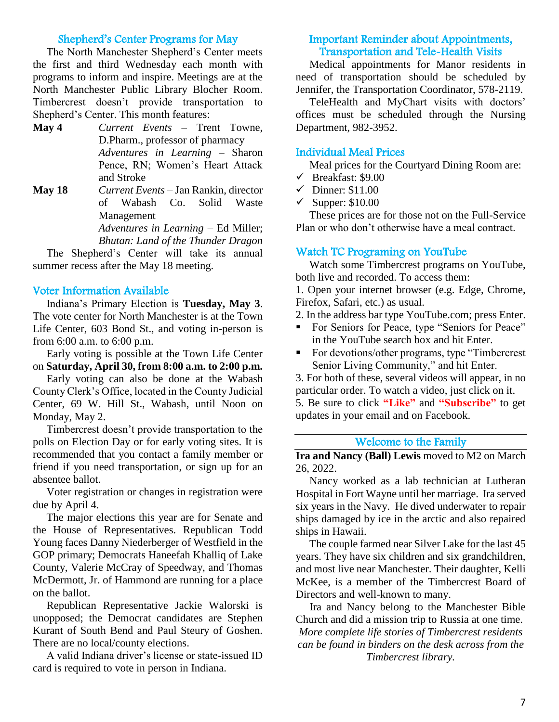# Shepherd's Center Programs for May

 The North Manchester Shepherd's Center meets the first and third Wednesday each month with programs to inform and inspire. Meetings are at the North Manchester Public Library Blocher Room. Timbercrest doesn't provide transportation to Shepherd's Center. This month features:

- **May 4** *Current Events* Trent Towne, D.Pharm., professor of pharmacy *Adventures in Learning* – Sharon Pence, RN; Women's Heart Attack and Stroke
- **May 18** *Current Events* Jan Rankin, director of Wabash Co. Solid Waste Management

*Adventures in Learning* – Ed Miller; *Bhutan: Land of the Thunder Dragon*

 The Shepherd's Center will take its annual summer recess after the May 18 meeting.

#### Voter Information Available

 Indiana's Primary Election is **Tuesday, May 3**. The vote center for North Manchester is at the Town Life Center, 603 Bond St., and voting in-person is from 6:00 a.m. to 6:00 p.m.

 Early voting is possible at the Town Life Center on **Saturday, April 30, from 8:00 a.m. to 2:00 p.m.**

 Early voting can also be done at the Wabash County Clerk's Office, located in the County Judicial Center, 69 W. Hill St., Wabash, until Noon on Monday, May 2.

 Timbercrest doesn't provide transportation to the polls on Election Day or for early voting sites. It is recommended that you contact a family member or friend if you need transportation, or sign up for an absentee ballot.

 Voter registration or changes in registration were due by April 4.

 The major elections this year are for Senate and the House of Representatives. Republican Todd Young faces Danny Niederberger of Westfield in the GOP primary; Democrats Haneefah Khalliq of Lake County, Valerie McCray of Speedway, and Thomas McDermott, Jr. of Hammond are running for a place on the ballot.

 Republican Representative Jackie Walorski is unopposed; the Democrat candidates are Stephen Kurant of South Bend and Paul Steury of Goshen. There are no local/county elections.

 A valid Indiana driver's license or state-issued ID card is required to vote in person in Indiana.

## Important Reminder about Appointments, Transportation and Tele-Health Visits

 Medical appointments for Manor residents in need of transportation should be scheduled by Jennifer, the Transportation Coordinator, 578-2119.

 TeleHealth and MyChart visits with doctors' offices must be scheduled through the Nursing Department, 982-3952.

## Individual Meal Prices

Meal prices for the Courtyard Dining Room are:

- $\checkmark$  Breakfast: \$9.00
- $\checkmark$  Dinner: \$11.00
- $\checkmark$  Supper: \$10.00

 These prices are for those not on the Full-Service Plan or who don't otherwise have a meal contract.

# Watch TC Programing on YouTube

 Watch some Timbercrest programs on YouTube, both live and recorded. To access them:

1. Open your internet browser (e.g. Edge, Chrome, Firefox, Safari, etc.) as usual.

2. In the address bar type YouTube.com; press Enter.

- For Seniors for Peace, type "Seniors for Peace" in the YouTube search box and hit Enter.
- For devotions/other programs, type "Timbercrest" Senior Living Community," and hit Enter.

3. For both of these, several videos will appear, in no particular order. To watch a video, just click on it. 5. Be sure to click **"Like"** and **"Subscribe"** to get updates in your email and on Facebook.

# Welcome to the Family

**Ira and Nancy (Ball) Lewis** moved to M2 on March 26, 2022.

 Nancy worked as a lab technician at Lutheran Hospital in Fort Wayne until her marriage. Ira served six years in the Navy. He dived underwater to repair ships damaged by ice in the arctic and also repaired ships in Hawaii.

 The couple farmed near Silver Lake for the last 45 years. They have six children and six grandchildren, and most live near Manchester. Their daughter, Kelli McKee, is a member of the Timbercrest Board of Directors and well-known to many.

 Ira and Nancy belong to the Manchester Bible Church and did a mission trip to Russia at one time. *More complete life stories of Timbercrest residents can be found in binders on the desk across from the Timbercrest library.*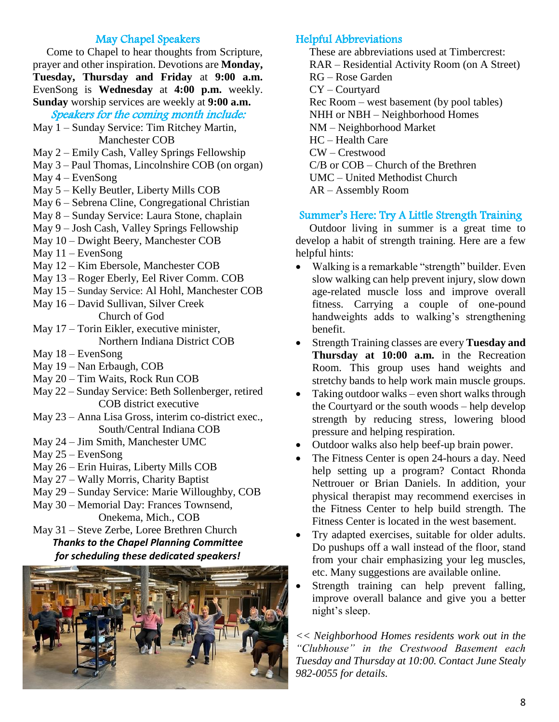# May Chapel Speakers

 Come to Chapel to hear thoughts from Scripture, prayer and other inspiration. Devotions are **Monday, Tuesday, Thursday and Friday** at **9:00 a.m.**  EvenSong is **Wednesday** at **4:00 p.m.** weekly. **Sunday** worship services are weekly at **9:00 a.m.**

Speakers for the coming month include:

- May 1 Sunday Service: Tim Ritchey Martin, Manchester COB
- May 2 Emily Cash, Valley Springs Fellowship
- May 3 Paul Thomas, Lincolnshire COB (on organ)
- May  $4 -$  EvenSong
- May 5 Kelly Beutler, Liberty Mills COB
- May 6 Sebrena Cline, Congregational Christian
- May 8 Sunday Service: Laura Stone, chaplain
- May 9 Josh Cash, Valley Springs Fellowship
- May 10 Dwight Beery, Manchester COB
- May  $11 -$  EvenSong
- May 12 Kim Ebersole, Manchester COB
- May 13 Roger Eberly, Eel River Comm. COB
- May 15 Sunday Service: Al Hohl, Manchester COB
- May 16 David Sullivan, Silver Creek Church of God
- May 17 Torin Eikler, executive minister, Northern Indiana District COB
- May 18 EvenSong
- May 19 Nan Erbaugh, COB
- May 20 Tim Waits, Rock Run COB
- May 22 Sunday Service: Beth Sollenberger, retired COB district executive
- May 23 Anna Lisa Gross, interim co-district exec., South/Central Indiana COB
- May 24 Jim Smith, Manchester UMC
- May 25 EvenSong
- May 26 Erin Huiras, Liberty Mills COB
- May 27 Wally Morris, Charity Baptist
- May 29 Sunday Service: Marie Willoughby, COB
- May 30 Memorial Day: Frances Townsend,

Onekema, Mich., COB

# May 31 – Steve Zerbe, Loree Brethren Church *Thanks to the Chapel Planning Committee for scheduling these dedicated speakers!*



# Helpful Abbreviations

 These are abbreviations used at Timbercrest: RAR – Residential Activity Room (on A Street) RG – Rose Garden CY – Courtyard Rec Room – west basement (by pool tables) NHH or NBH – Neighborhood Homes NM – Neighborhood Market HC – Health Care CW – Crestwood C/B or COB – Church of the Brethren UMC – United Methodist Church AR – Assembly Room

# Summer's Here: Try A Little Strength Training

 Outdoor living in summer is a great time to develop a habit of strength training. Here are a few helpful hints:

- Walking is a remarkable "strength" builder. Even slow walking can help prevent injury, slow down age-related muscle loss and improve overall fitness. Carrying a couple of one-pound handweights adds to walking's strengthening benefit.
- Strength Training classes are every **Tuesday and Thursday at 10:00 a.m.** in the Recreation Room. This group uses hand weights and stretchy bands to help work main muscle groups.
- Taking outdoor walks even short walks through the Courtyard or the south woods – help develop strength by reducing stress, lowering blood pressure and helping respiration.
- Outdoor walks also help beef-up brain power.
- The Fitness Center is open 24-hours a day. Need help setting up a program? Contact Rhonda Nettrouer or Brian Daniels. In addition, your physical therapist may recommend exercises in the Fitness Center to help build strength. The Fitness Center is located in the west basement.
- Try adapted exercises, suitable for older adults. Do pushups off a wall instead of the floor, stand from your chair emphasizing your leg muscles, etc. Many suggestions are available online.
- Strength training can help prevent falling, improve overall balance and give you a better night's sleep.

*<< Neighborhood Homes residents work out in the "Clubhouse" in the Crestwood Basement each Tuesday and Thursday at 10:00. Contact June Stealy 982-0055 for details.*